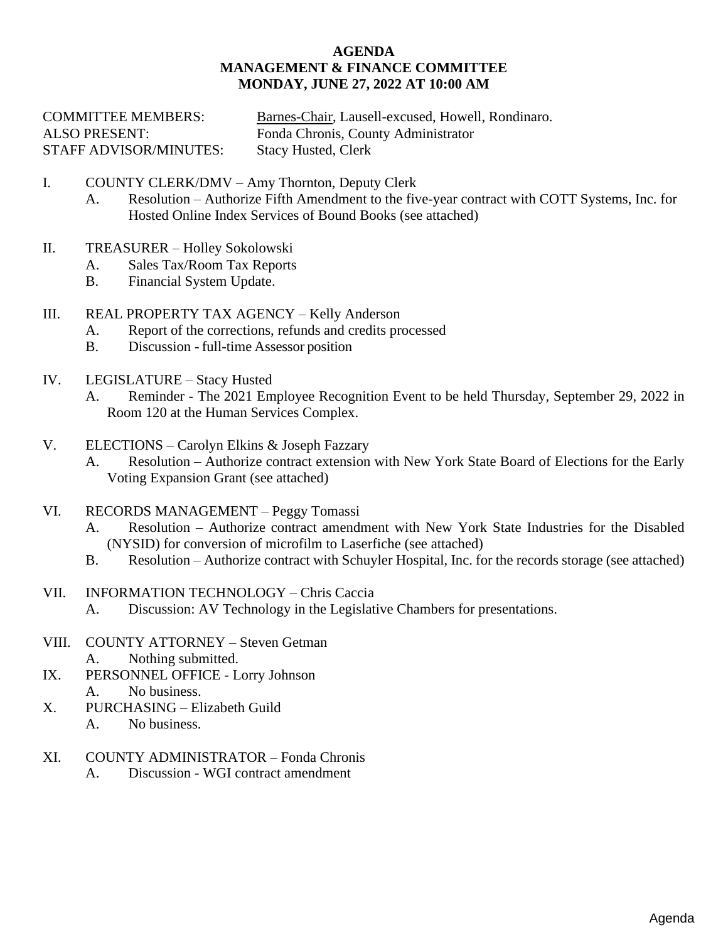#### **AGENDA MANAGEMENT & FINANCE COMMITTEE MONDAY, JUNE 27, 2022 AT 10:00 AM**

| <b>COMMITTEE MEMBERS:</b>     | Barnes-Chair, Lausell-excused, Howell, Rondinaro. |
|-------------------------------|---------------------------------------------------|
| <b>ALSO PRESENT:</b>          | Fonda Chronis, County Administrator               |
| <b>STAFF ADVISOR/MINUTES:</b> | Stacy Husted, Clerk                               |

- I. COUNTY CLERK/DMV Amy Thornton, Deputy Clerk
	- A. Resolution [Authorize Fifth Amendment to the five-year contract with COTT Systems, Inc.](#page-1-0) for Hosted Online Index Services of Bound Books (see attached)
- II. TREASURER – Holley Sokolowski
	- A. Sales Tax/Room Tax Reports
	- B. Financial System Update.
- III. REAL PROPERTY TAX AGENCY – Kelly Anderson
	- A. Report of the corrections, refunds and credits processed
	- B. Discussion [full-time Assessor](#page--1-0) position
- IV. LEGISLATURE – Stacy Husted
	- A. Reminder The 2021 Employee Recognition Event to be held Thursday, September 29, 2022 in Room 120 at the Human Services Complex.
- V. ELECTIONS – Carolyn Elkins & Joseph Fazzary
	- A. Resolution Authorize contract extension with [New York State Board of Elections for the Early](#page-2-0) Voting Expansion Grant (see attached)
- VI. RECORDS MANAGEMENT – Peggy Tomassi
	- A. Resolution Authorize contract amendment with New York State Industries for the Disabled (NYSID) for conversion [of microfilm to Laserfiche \(see attached\)](#page-3-0)
	- B. Resolution Authorize [contract with Schuyler Hospital, Inc. for the](#page-4-0) records storage (see attached)
- VII. INFORMATION TECHNOLOGY – Chris Caccia
	- A. Discussion: AV Technology in the Legislative Chambers for presentations.
- VIII. COUNTY ATTORNEY Steven Getman
	- A. Nothing submitted.
- IX. PERSONNEL OFFICE - Lorry Johnson A. No business.
- X. PURCHASING – Elizabeth Guild
	- A. No business.
- XI. COUNTY ADMINISTRATOR – Fonda Chronis
	- A. Discussion WGI contract amendment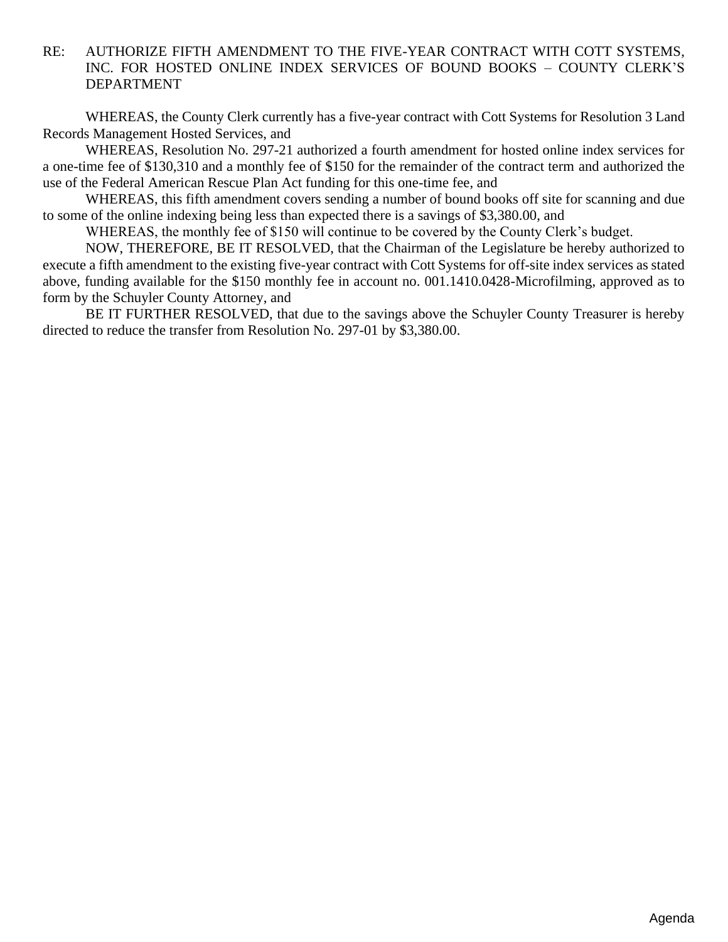## <span id="page-1-0"></span>RE: AUTHORIZE FIFTH AMENDMENT TO THE FIVE-YEAR CONTRACT WITH COTT SYSTEMS, INC. FOR HOSTED ONLINE INDEX SERVICES OF BOUND BOOKS – COUNTY CLERK'S DEPARTMENT

WHEREAS, the County Clerk currently has a five-year contract with Cott Systems for Resolution 3 Land Records Management Hosted Services, and

WHEREAS, Resolution No. 297-21 authorized a fourth amendment for hosted online index services for a one-time fee of \$130,310 and a monthly fee of \$150 for the remainder of the contract term and authorized the use of the Federal American Rescue Plan Act funding for this one-time fee, and

WHEREAS, this fifth amendment covers sending a number of bound books off site for scanning and due to some of the online indexing being less than expected there is a savings of \$3,380.00, and

WHEREAS, the monthly fee of \$150 will continue to be covered by the County Clerk's budget.

NOW, THEREFORE, BE IT RESOLVED, that the Chairman of the Legislature be hereby authorized to execute a fifth amendment to the existing five-year contract with Cott Systems for off-site index services as stated above, funding available for the \$150 monthly fee in account no. 001.1410.0428-Microfilming, approved as to form by the Schuyler County Attorney, and

BE IT FURTHER RESOLVED, that due to the savings above the Schuyler County Treasurer is hereby directed to reduce the transfer from Resolution No. 297-01 by \$3,380.00.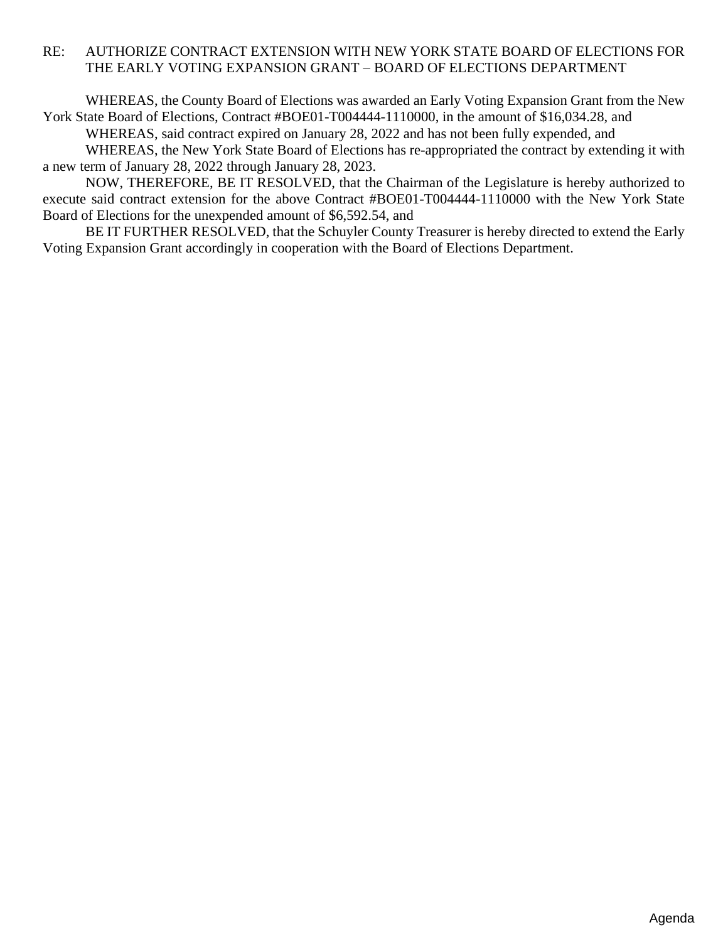## <span id="page-2-0"></span>RE: AUTHORIZE CONTRACT EXTENSION WITH NEW YORK STATE BOARD OF ELECTIONS FOR THE EARLY VOTING EXPANSION GRANT – BOARD OF ELECTIONS DEPARTMENT

WHEREAS, the County Board of Elections was awarded an Early Voting Expansion Grant from the New York State Board of Elections, Contract #BOE01-T004444-1110000, in the amount of \$16,034.28, and WHEREAS, said contract expired on January 28, 2022 and has not been fully expended, and

WHEREAS, the New York State Board of Elections has re-appropriated the contract by extending it with a new term of January 28, 2022 through January 28, 2023.

NOW, THEREFORE, BE IT RESOLVED, that the Chairman of the Legislature is hereby authorized to execute said contract extension for the above Contract #BOE01-T004444-1110000 with the New York State Board of Elections for the unexpended amount of \$6,592.54, and

BE IT FURTHER RESOLVED, that the Schuyler County Treasurer is hereby directed to extend the Early Voting Expansion Grant accordingly in cooperation with the Board of Elections Department.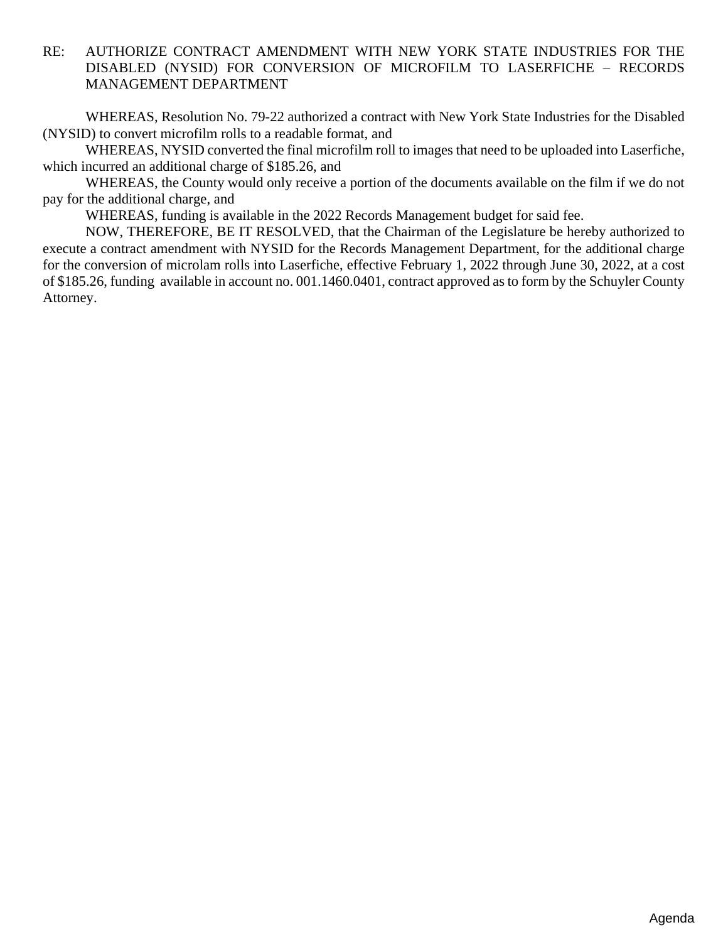# <span id="page-3-0"></span>RE: AUTHORIZE CONTRACT AMENDMENT WITH NEW YORK STATE INDUSTRIES FOR THE DISABLED (NYSID) FOR CONVERSION OF MICROFILM TO LASERFICHE – RECORDS MANAGEMENT DEPARTMENT

WHEREAS, Resolution No. 79-22 authorized a contract with New York State Industries for the Disabled (NYSID) to convert microfilm rolls to a readable format, and

WHEREAS, NYSID converted the final microfilm roll to images that need to be uploaded into Laserfiche, which incurred an additional charge of \$185.26, and

WHEREAS, the County would only receive a portion of the documents available on the film if we do not pay for the additional charge, and

WHEREAS, funding is available in the 2022 Records Management budget for said fee.

NOW, THEREFORE, BE IT RESOLVED, that the Chairman of the Legislature be hereby authorized to execute a contract amendment with NYSID for the Records Management Department, for the additional charge for the conversion of microlam rolls into Laserfiche, effective February 1, 2022 through June 30, 2022, at a cost of \$185.26, funding available in account no. 001.1460.0401, contract approved as to form by the Schuyler County Attorney.